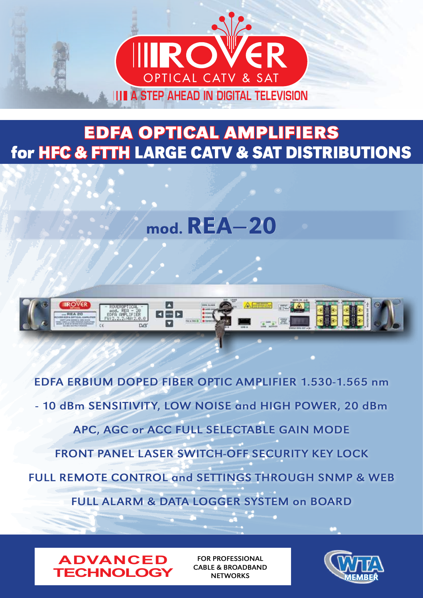

### **EDFA OPTICAL AMPLIFIERS for HFC & FTTH LARGE CATV & SAT DISTRIBUTIONS**

## mod. REA**–**20



EDFA ERBIUM DOPED FIBER OPTIC AMPLIFIER 1.530-1.565 nm - 10 dBm SENSITIVITY, LOW NOISE and HIGH POWER, 20 dBm APC, AGC or ACC FULL SELECTABLE GAIN MODE FRONT PANEL LASER SWITCH-OFF SECURITY KEY LOCK FULL REMOTE CONTROL and SETTINGS THROUGH SNMP & WEB FULL ALARM & DATA LOGGER SYSTEM on BOARD



FOR PROFESSIONAL CABLE & BROADBAND **NETWORKS** 

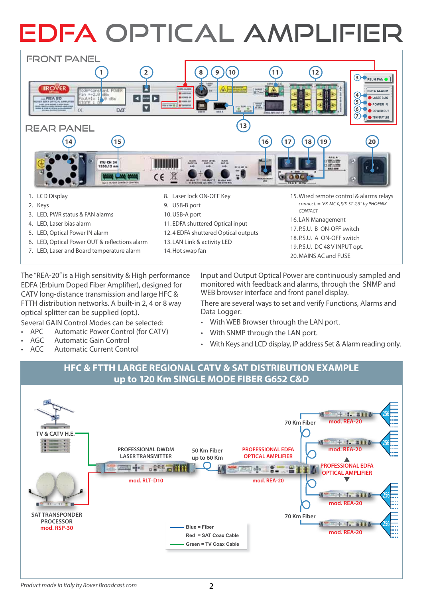# EDFA OPTICAL AMPLIFIER



- 4. LED, Laser bias alarm
- 5. LED, Optical Power IN alarm
- 6. LED, Optical Power OUT & reflections alarm
- 7. LED, Laser and Board temperature alarm
- 11. EDFA shuttered Optical input
- 12. 4 EDFA shuttered Optical outputs
- 13. LAN Link & activity LED
- 14.Hot swap fan

16. LAN Management 17. P.S.U. B ON-OFF switch 18. P.S.U. A ON-OFF switch 19. P.S.U. DC 48 V INPUT opt. 20. MAINS AC and FUSE

The "REA-20" is a High sensitivity & High performance EDFA (Erbium Doped Fiber Amplifier), designed for CATV long-distance transmission and large HFC & FTTH distribution networks. A built-in 2, 4 or 8 way optical splitter can be supplied (opt.).

Several GAIN Control Modes can be selected:

- APC Automatic Power Control (for CATV)
- AGC Automatic Gain Control
- ACC Automatic Current Control

Input and Output Optical Power are continuously sampled and monitored with feedback and alarms, through the SNMP and WEB browser interface and front panel display.

There are several ways to set and verify Functions, Alarms and Data Logger:

- With WEB Browser through the LAN port.
- With SNMP through the LAN port.
- With Keys and LCD display, IP address Set & Alarm reading only.

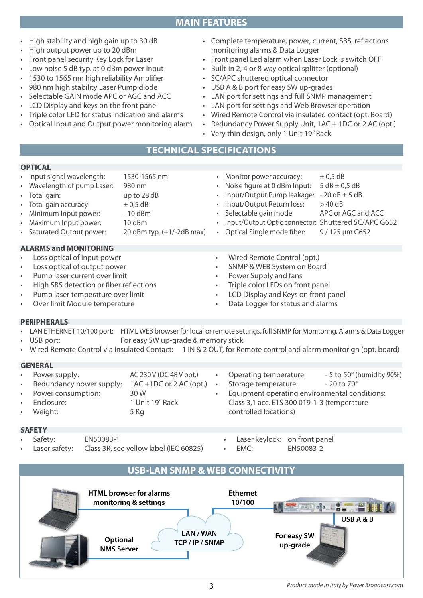

#### High stability and high gain up to 30 dB

- • High output power up to 20 dBm
- Front panel security Key Lock for Laser
- • Low noise 5 dB typ. at 0 dBm power input
- 1530 to 1565 nm high reliability Amplifier
- • 980 nm high stability Laser Pump diode
- Selectable GAIN mode APC or AGC and ACC
- LCD Display and keys on the front panel
- Triple color LED for status indication and alarms

• Input signal wavelength: 1530-1565 nm

Wavelength of pump Laser: 980 nm • Total gain: up to 28 dB

Optical Input and Output power monitoring alarm

- • Complete temperature, power, current, SBS, reflections monitoring alarms & Data Logger
- Front panel Led alarm when Laser Lock is switch OFF
- Built-in 2, 4 or 8 way optical splitter (optional)
- SC/APC shuttered optical connector
- • USB A & B port for easy SW up-grades
- • LAN port for settings and full SNMP management
- • LAN port for settings and Web Browser operation

• Monitor power accuracy:  $\pm 0.5$  dB • Noise figure at 0 dBm Input:  $5 dB \pm 0.5 dB$ Input/Output Pump leakage:  $-20$  dB  $\pm$  5 dB

- • Wired Remote Control via insulated contact (opt. Board)
- Redundancy Power Supply Unit, 1AC + 1DC or 2 AC (opt.)
- Very thin design, only 1 Unit 19" Rack

#### **Technical specificationS**

**MAIN FEATURES**

#### **OPTICAL**